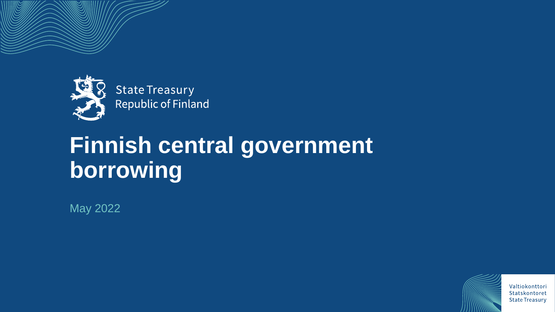



**State Treasury Republic of Finland** 

# **Finnish central government borrowing**

May 2022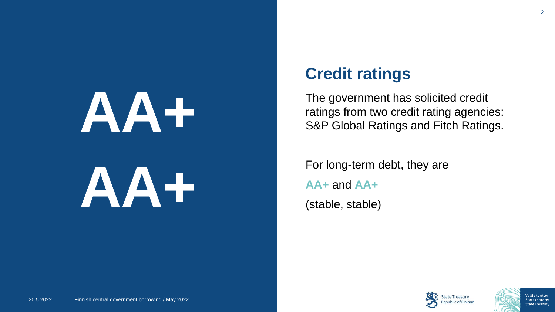# **AA+ AA+**

### **Credit ratings**

The government has solicited credit ratings from two credit rating agencies: S&P Global Ratings and Fitch Ratings.

For long-term debt, they are **AA+** and **AA+** (stable, stable)

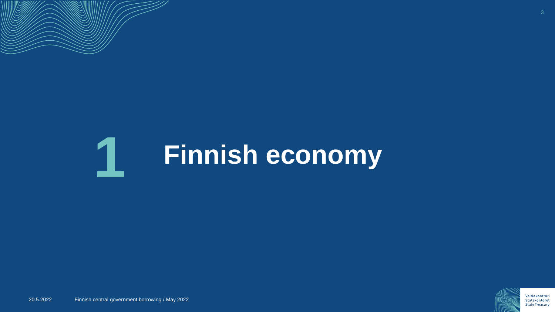

### **Finnish economy 1**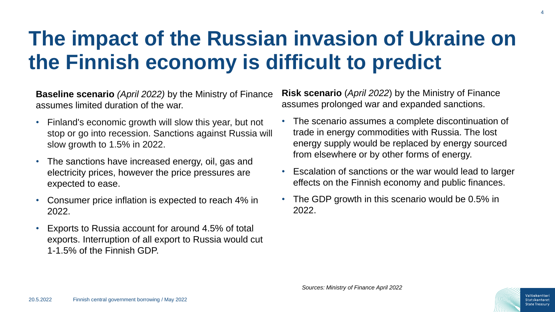### **The impact of the Russian invasion of Ukraine on the Finnish economy is difficult to predict**

**Baseline scenario** *(April 2022)* by the Ministry of Finance assumes limited duration of the war.

- Finland's economic growth will slow this year, but not stop or go into recession. Sanctions against Russia will slow growth to 1.5% in 2022.
- The sanctions have increased energy, oil, gas and electricity prices, however the price pressures are expected to ease.
- Consumer price inflation is expected to reach 4% in 2022.
- Exports to Russia account for around 4.5% of total exports. Interruption of all export to Russia would cut 1-1.5% of the Finnish GDP.

**Risk scenario** (*April 2022*) by the Ministry of Finance assumes prolonged war and expanded sanctions.

- The scenario assumes a complete discontinuation of trade in energy commodities with Russia. The lost energy supply would be replaced by energy sourced from elsewhere or by other forms of energy.
- Escalation of sanctions or the war would lead to larger effects on the Finnish economy and public finances.
- The GDP growth in this scenario would be 0.5% in 2022.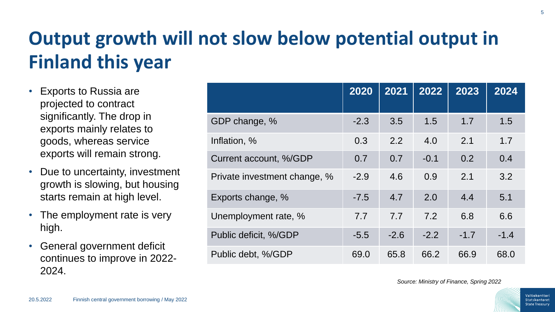### **Output growth will not slow below potential output in Finland this year**

- Exports to Russia are projected to contract significantly. The drop in exports mainly relates to goods, whereas service exports will remain strong.
- Due to uncertainty, investment growth is slowing, but housing starts remain at high level.
- The employment rate is very high.
- General government deficit continues to improve in 2022- 2024.

|                              | 2020   | 2021   | 2022   | 2023   | 2024   |
|------------------------------|--------|--------|--------|--------|--------|
| GDP change, %                | $-2.3$ | 3.5    | 1.5    | 1.7    | 1.5    |
| Inflation, %                 | 0.3    | 2.2    | 4.0    | 2.1    | 1.7    |
| Current account, %/GDP       | 0.7    | 0.7    | $-0.1$ | 0.2    | 0.4    |
| Private investment change, % | $-2.9$ | 4.6    | 0.9    | 2.1    | 3.2    |
| Exports change, %            | $-7.5$ | 4.7    | 2.0    | 4.4    | 5.1    |
| Unemployment rate, %         | 7.7    | 7.7    | 7.2    | 6.8    | 6.6    |
| Public deficit, %/GDP        | $-5.5$ | $-2.6$ | $-2.2$ | $-1.7$ | $-1.4$ |
| Public debt, %/GDP           | 69.0   | 65.8   | 66.2   | 66.9   | 68.0   |

*Source: Ministry of Finance, Spring 2022*

5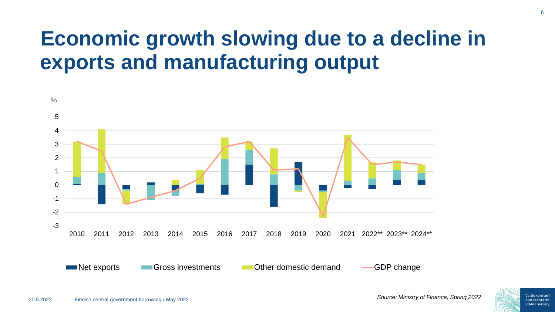### **Economic growth slowing due to a decline in exports and manufacturing output**

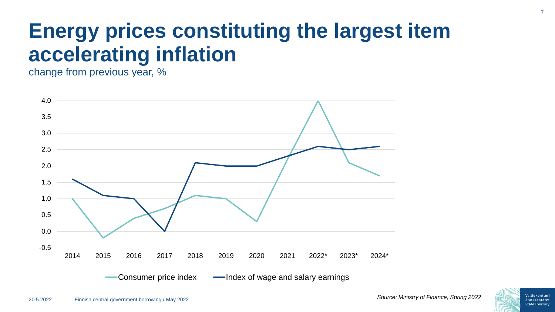### **Energy prices constituting the largest item accelerating inflation**

change from previous year, %



7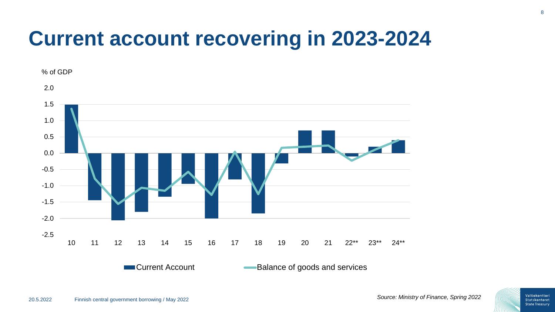# **Current account recovering in 2023-2024**

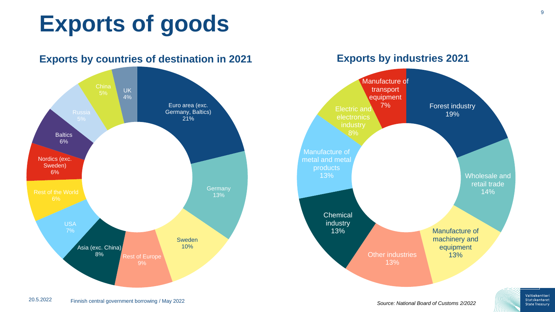# **Exports of goods**



**Exports by industries 2021**

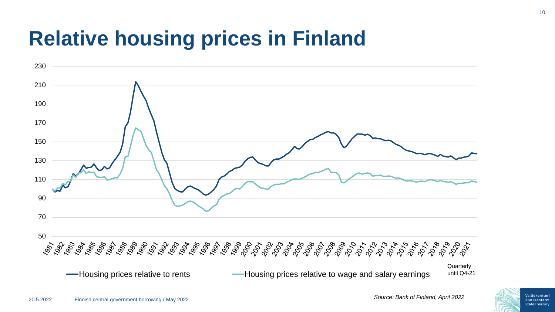### **Relative housing prices in Finland**

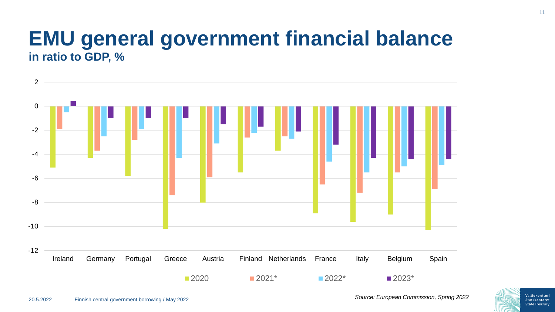### **EMU general government financial balance in ratio to GDP, %**

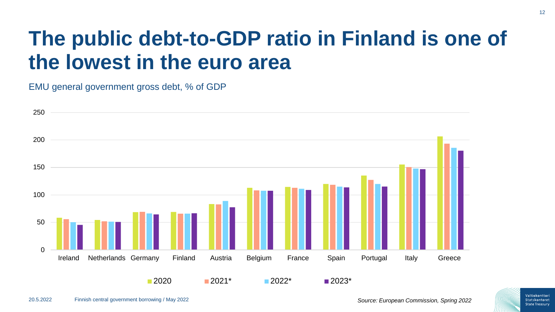### **The public debt-to-GDP ratio in Finland is one of the lowest in the euro area**

EMU general government gross debt, % of GDP

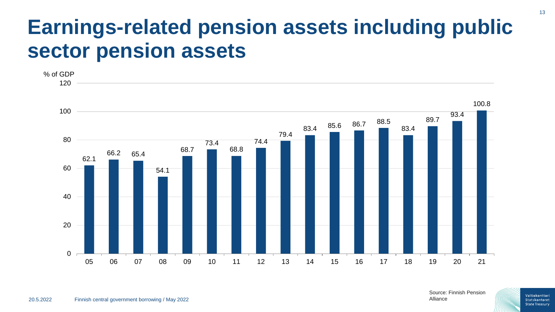### **Earnings-related pension assets including public sector pension assets**



20.5.2022 Finnish central government borrowing / May 2022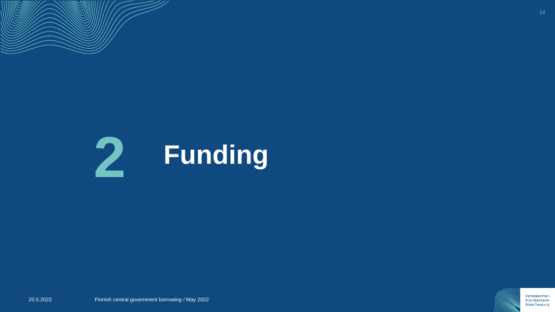

## **Funding 2**

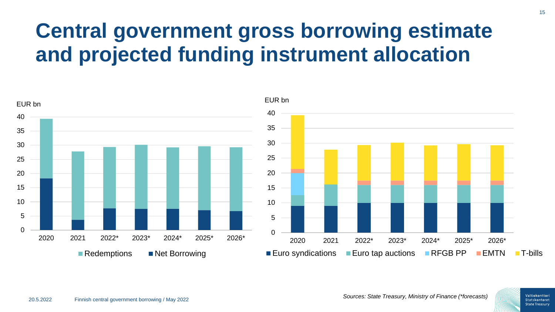### **Central government gross borrowing estimate and projected funding instrument allocation**

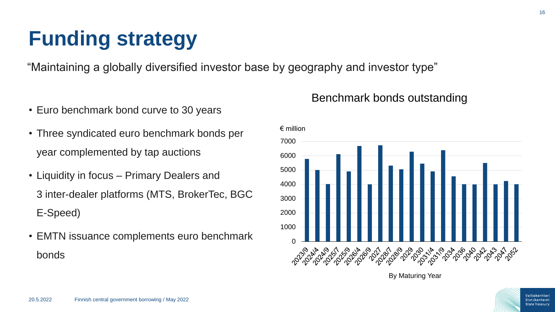# **Funding strategy**

"Maintaining a globally diversified investor base by geography and investor type"

- Euro benchmark bond curve to 30 years
- Three syndicated euro benchmark bonds per year complemented by tap auctions
- Liquidity in focus Primary Dealers and 3 inter-dealer platforms (MTS, BrokerTec, BGC E-Speed)
- EMTN issuance complements euro benchmark bonds

### Benchmark bonds outstanding



By Maturing Year

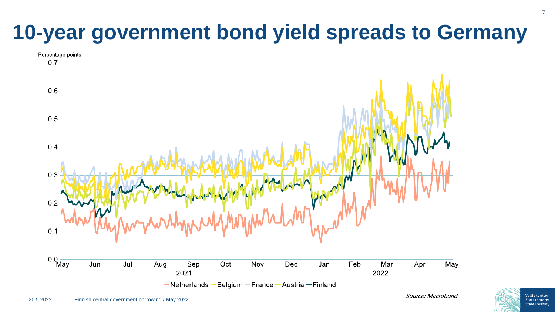# **10-year government bond yield spreads to Germany**



Valtiokonttori Statskontoret **State Treasury**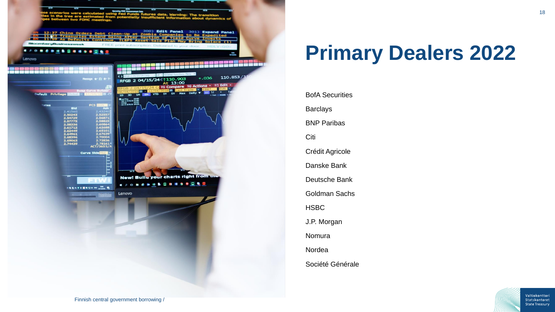

# **Primary Dealers 2022**

BofA Securities Barclays BNP Paribas Citi Crédit Agricole Danske Bank Deutsche Bank Goldman Sachs HSBC J.P. Morgan Nomura Nordea Société Générale

> Valtiokonttori Statskontoret **State Treasury**

18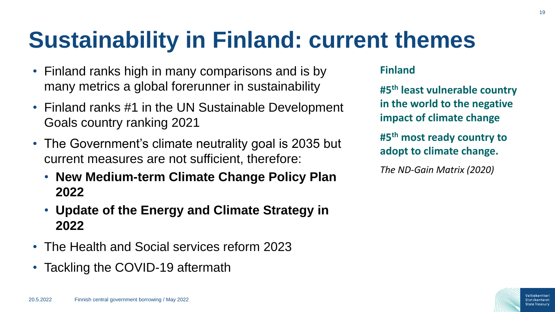# **Sustainability in Finland: current themes**

- Finland ranks high in many comparisons and is by many metrics a global forerunner in sustainability
- Finland ranks #1 in the UN Sustainable Development Goals country ranking 2021
- The Government's climate neutrality goal is 2035 but current measures are not sufficient, therefore:
	- **New Medium-term Climate Change Policy Plan 2022**
	- **Update of the Energy and Climate Strategy in 2022**
- The Health and Social services reform 2023
- Tackling the COVID-19 aftermath

### **Finland**

**#5th least vulnerable country in the world to the negative impact of climate change**

**#5th most ready country to adopt to climate change.** 

*The ND-Gain Matrix (2020)* 

Valtiokonttor State Treasur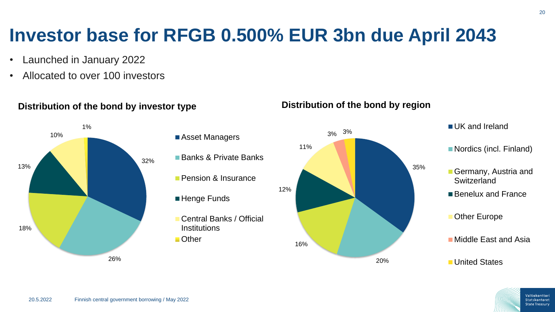### **Investor base for RFGB 0.500% EUR 3bn due April 2043**

- Launched in January 2022
- Allocated to over 100 investors



### **Distribution of the bond by investor type**

- **Asset Managers**
- Banks & Private Banks
- **Pension & Insurance**
- ■Henge Funds
- Central Banks / Official **Institutions**
- Other



#### **Distribution of the bond by region**



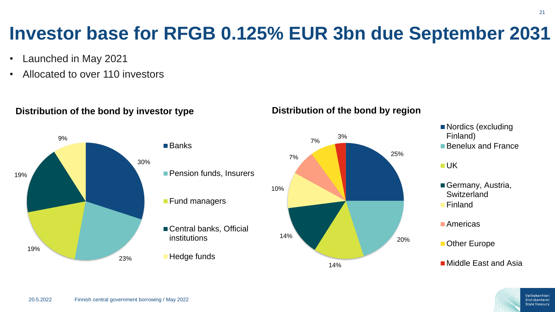Valtiokonttori Statskontoret **State Treasury** 

### **Investor base for RFGB 0.125% EUR 3bn due September 2031**

- Launched in May 2021
- Allocated to over 110 investors



### **Distribution of the bond by investor type**

#### **Distribution of the bond by region**

- Nordics (excluding ■ Benelux and France
- Germany, Austria, **Switzerland**

**Other Europe** 

■ Middle East and Asia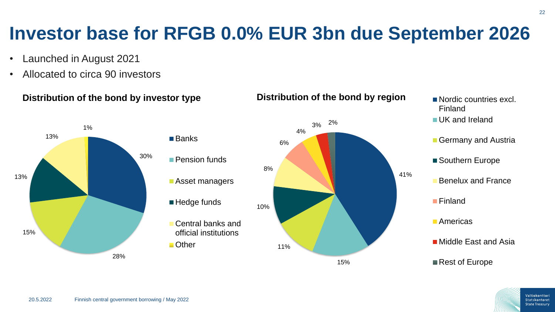### **Investor base for RFGB 0.0% EUR 3bn due September 2026**

- Launched in August 2021
- Allocated to circa 90 investors

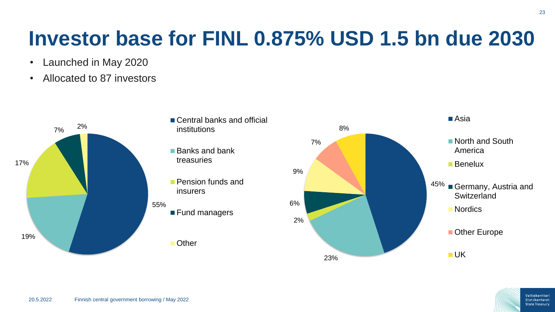### **Investor base for FINL 0.875% USD 1.5 bn due 2030**

- Launched in May 2020
- Allocated to 87 investors



- Central banks and official institutions
- Banks and bank treasuries
- **Pension funds and** insurers

■ Fund managers

**Other** 

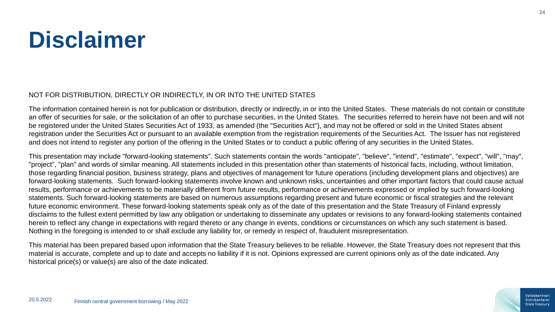# **Disclaimer**

#### NOT FOR DISTRIBUTION, DIRECTLY OR INDIRECTLY, IN OR INTO THE UNITED STATES

The information contained herein is not for publication or distribution, directly or indirectly, in or into the United States. These materials do not contain or constitute an offer of securities for sale, or the solicitation of an offer to purchase securities, in the United States. The securities referred to herein have not been and will not be registered under the United States Securities Act of 1933, as amended (the "Securities Act"), and may not be offered or sold in the United States absent registration under the Securities Act or pursuant to an available exemption from the registration requirements of the Securities Act. The Issuer has not registered and does not intend to register any portion of the offering in the United States or to conduct a public offering of any securities in the United States.

This presentation may include "forward-looking statements". Such statements contain the words "anticipate", "believe", "intend", "estimate", "expect", "will", "may", "project", "plan" and words of similar meaning. All statements included in this presentation other than statements of historical facts, including, without limitation, those regarding financial position, business strategy, plans and objectives of management for future operations (including development plans and objectives) are forward-looking statements. Such forward-looking statements involve known and unknown risks, uncertainties and other important factors that could cause actual results, performance or achievements to be materially different from future results, performance or achievements expressed or implied by such forward-looking statements. Such forward-looking statements are based on numerous assumptions regarding present and future economic or fiscal strategies and the relevant future economic environment. These forward-looking statements speak only as of the date of this presentation and the State Treasury of Finland expressly disclaims to the fullest extent permitted by law any obligation or undertaking to disseminate any updates or revisions to any forward-looking statements contained herein to reflect any change in expectations with regard thereto or any change in events, conditions or circumstances on which any such statement is based. Nothing in the foregoing is intended to or shall exclude any liability for, or remedy in respect of, fraudulent misrepresentation.

This material has been prepared based upon information that the State Treasury believes to be reliable. However, the State Treasury does not represent that this material is accurate, complete and up to date and accepts no liability if it is not. Opinions expressed are current opinions only as of the date indicated. Any historical price(s) or value(s) are also of the date indicated.

Valtiokonttor **State Treasury**